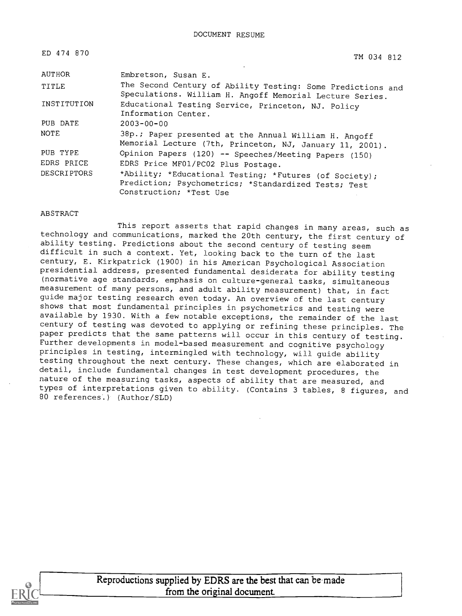| ED 474 870  | TM 034 812                                                                                                                                |
|-------------|-------------------------------------------------------------------------------------------------------------------------------------------|
| AUTHOR      | Embretson, Susan E.                                                                                                                       |
| TITLE       | The Second Century of Ability Testing: Some Predictions and<br>Speculations. William H. Angoff Memorial Lecture Series.                   |
| INSTITUTION | Educational Testing Service, Princeton, NJ. Policy<br>Information Center.                                                                 |
| PUB DATE    | $2003 - 00 - 00$                                                                                                                          |
| <b>NOTE</b> | 38p.; Paper presented at the Annual William H. Angoff<br>Memorial Lecture (7th, Princeton, NJ, January 11, 2001).                         |
| PUB TYPE    | Opinion Papers (120) -- Speeches/Meeting Papers (150)                                                                                     |
| EDRS PRICE  | EDRS Price MF01/PC02 Plus Postage.                                                                                                        |
| DESCRIPTORS | *Ability; *Educational Testing; *Futures (of Society);<br>Prediction; Psychometrics; *Standardized Tests; Test<br>Construction; *Test Use |

#### ABSTRACT

This report asserts that rapid changes in many areas, such as technology and communications, marked the 20th century, the first century of ability testing. Predictions about the second century of testing seem difficult in such a context. Yet, looking back to the turn of the last century, E. Kirkpatrick (1900) in his American Psychological Association presidential address, presented fundamental desiderata for ability testing (normative age standards, emphasis on culture-general tasks, simultaneous measurement of many persons, and adult ability measurement) that, in fact guide major testing research even today. An overview of the last century shows that most fundamental principles in psychometrics and testing were available by 1930. With a few notable exceptions, the remainder of the last century of testing was devoted to applying or refining these principles. The paper predicts that the same patterns will occur in this century of testing. Further developments in model-based measurement and cognitive psychology principles in testing, intermingled with technology, will guide ability testing throughout the next century. These changes, which are elaborated in detail, include fundamental changes in test development procedures, the nature of the measuring tasks, aspects of ability that are measured, and types of interpretations given to ability. (Contains 3 tables, 8 figures, and 80 references.) (Author/SLD)



Reproductions supplied by EDRS are the best that can be made from the original document.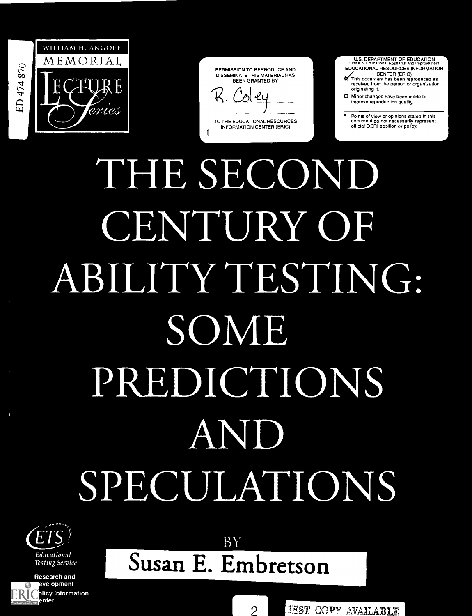THE SECOND  $\overline{\text{PVD}}$ MI Mt A MK SOME **ATIANIC** 2 E D 17 AND SPECULATIONS



DISSEMINATE THIS MATERIAL HAS BEEN GRANTED BY R. Colei TO THE EDUCATIONAL RESOURCES

INFORMATION CENTER (ERIC)

 $\mathbf{I}$ 

PERMISSION TO REPRODUCE AND

U.S. DEPARTMENT OF EDUCATION<br>Office of Educational Research and Improvement EDUCATIONAL RESOURCES INFORMATION

CENTER (ERIC)<br>This document has been reproduced as received from the person or organization

Points of view or opinions stated in this document do not necessarily represent

0 Minor changes have been made to improve reproduction quality

official OERI position cr policy

originating it

ED 474 870

Research and evelopment blicy Information

enter

Educational **Testing Service** 

Susan E. Embretson

BY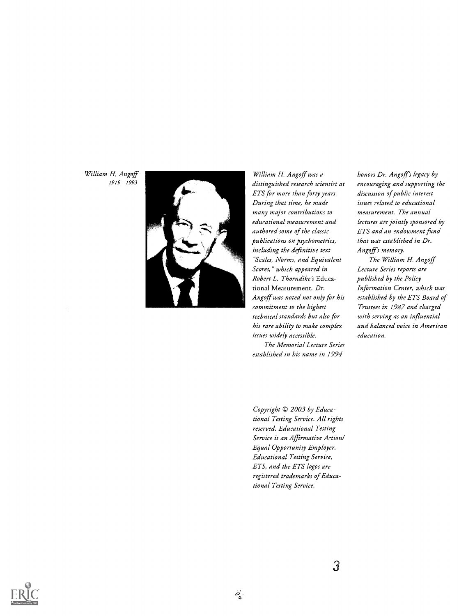William H. Angoff 1919 - 1993



William H. Angoff was a distinguished research scientist at ETS for more than forty years. During that time, he made many major contributions to educational measurement and authored some of the classic publications on psychometrics, including the definitive text "Scales, Norms, and Equivalent Scores," which appeared in Robert L. Thorndike's Educational Measurement. Dr. Angoff was noted not only for his commitment to the highest technical standards but also for his rare ability to make complex issues widely accessible.

The Memorial Lecture Series established in his name in 1994

Copyright © 2003 by Educational Testing Service. All rights reserved. Educational Testing Service is an Affirmative Action/ Equal Opportunity Employer. Educational Testing Service, ETS, and the ETS logos are registered trademarks of Educational Testing Service.

honors Dr. Angoffs legacy by encouraging and supporting the discussion of public interest issues related to educational measurement. The annual lectures are jointly sponsored by ETS and an endowment fund that was established in Dr. Angoffs memory.

The William H. Angoff Lecture Series reports are published by the Policy Information Center, which was established by the ETS Board of Trustees in 1987 and charged with serving as an influential and balanced voice in American education.



 $\mathcal{S}$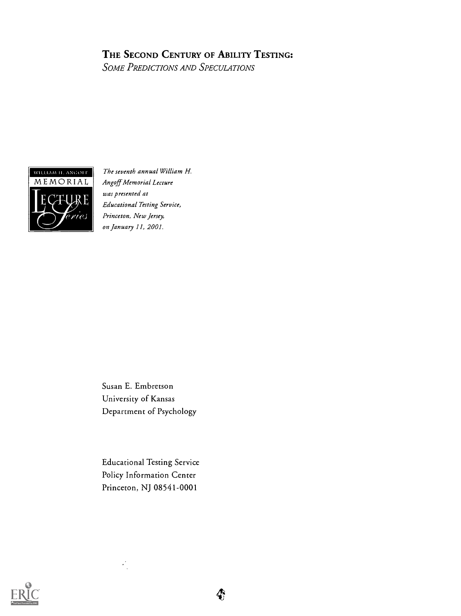## THE SECOND CENTURY OF ABILITY TESTING:

SOME PREDICTIONS AND SPECULATIONS



The seventh annual William H. Angoff Memorial Lecture was presented at Educational Testing Service, Princeton, New Jersey, on January 11, 2001.

Susan E. Embretson University of Kansas Department of Psychology

Educational Testing Service Policy Information Center Princeton, NJ 08541-0001

 $\mathcal{L}_1$ 

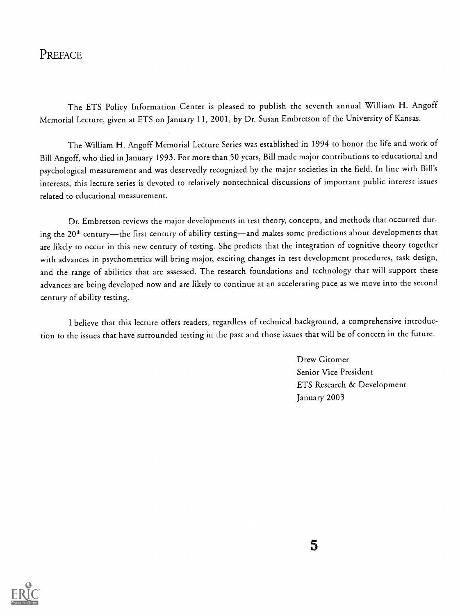# PREFACE

The ETS Policy Information Center is pleased to publish the seventh annual William H. Angoff Memorial Lecture, given at ETS on January 11, 2001, by Dr. Susan Embretson of the University of Kansas.

The William H. Angoff Memorial Lecture Series was established in 1994 to honor the life and work of Bill Angoff, who died in January 1993. For more than 50 years, Bill made major contributions to educational and psychological measurement and was deservedly recognized by the major societies in the field. In line with Bill's interests, this lecture series is devoted to relatively nontechnical discussions of important public interest issues related to educational measurement.

Dr. Embretson reviews the major developments in test theory, concepts, and methods that occurred during the 20<sup>th</sup> century—the first century of ability testing—and makes some predictions about developments that are likely to occur in this new century of testing. She predicts that the integration of cognitive theory together with advances in psychometrics will bring major, exciting changes in test development procedures, task design, and the range of abilities that are assessed. The research foundations and technology that will support these advances are being developed now and are likely to continue at an accelerating pace as we move into the second century of ability testing.

I believe that this lecture offers readers, regardless of technical background, a comprehensive introduction to the issues that have surrounded testing in the past and those issues that will be of concern in the future.

> Drew Gitomer Senior Vice President ETS Research & Development January 2003

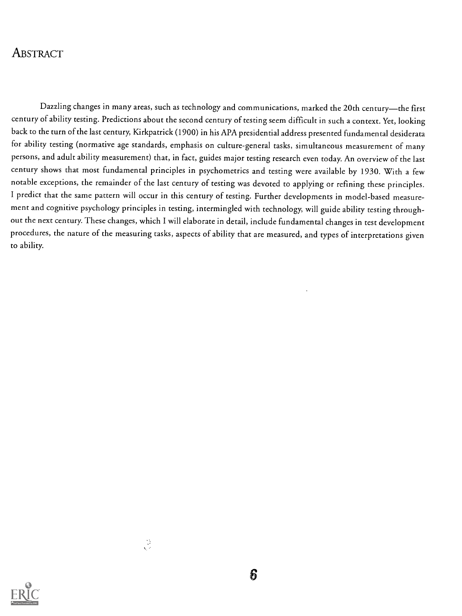# ABSTRACT

Dazzling changes in many areas, such as technology and communications, marked the 20th century-the first century of ability testing. Predictions about the second century of testing seem difficult in such a context. Yet, looking back to the turn of the last century, Kirkpatrick (1900) in his APA presidential address presented fundamental desiderata for ability testing (normative age standards, emphasis on culture-general tasks, simultaneous measurement of many persons, and adult ability measurement) that, in fact, guides major testing research even today. An overview of the last century shows that most fundamental principles in psychometrics and testing were available by 1930. With a few notable exceptions, the remainder of the last century of testing was devoted to applying or refining these principles. I predict that the same pattern will occur in this century of testing. Further developments in model-based measurement and cognitive psychology principles in testing, intermingled with technology, will guide ability testing throughout the next century. These changes, which I will elaborate in detail, include fundamental changes in test development procedures, the nature of the measuring tasks, aspects of ability that are measured, and types of interpretations given to ability.

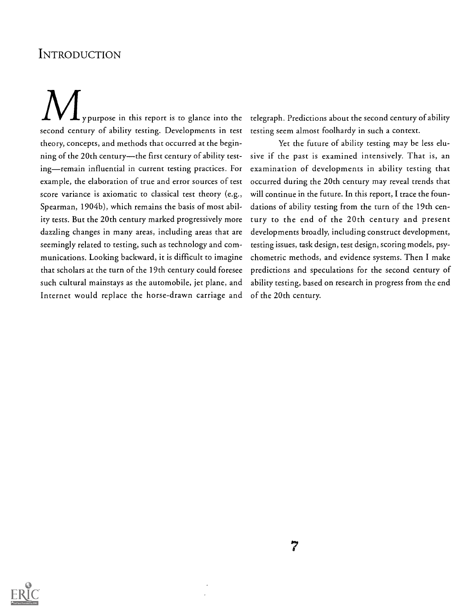# **INTRODUCTION**

y purpose in this report is to glance into the second century of ability testing. Developments in test theory, concepts, and methods that occurred at the beginning of the 20th century-the first century of ability testing-remain influential in current testing practices. For example, the elaboration of true and error sources of test score variance is axiomatic to classical test theory (e.g., Spearman, 1904b), which remains the basis of most ability tests. But the 20th century marked progressively more dazzling changes in many areas, including areas that are seemingly related to testing, such as technology and communications. Looking backward, it is difficult to imagine that scholars at the turn of the 19th century could foresee such cultural mainstays as the automobile, jet plane, and Internet would replace the horse-drawn carriage and

telegraph. Predictions about the second century of ability testing seem almost foolhardy in such a context.

Yet the future of ability testing may be less elusive if the past is examined intensively. That is, an examination of developments in ability testing that occurred during the 20th century may reveal trends that will continue in the future. In this report, I trace the foundations of ability testing from the turn of the 19th century to the end of the 20th century and present developments broadly, including construct development, testing issues, task design, test design, scoring models, psychometric methods, and evidence systems. Then I make predictions and speculations for the second century of ability testing, based on research in progress from the end of the 20th century.

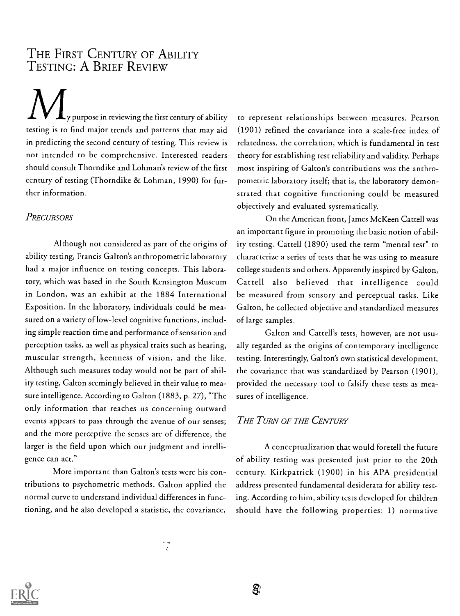# THE FIRST CENTURY OF ABILITY TESTING: A BRIEF REVIEW

 $\mathsf L_{\mathsf V}$  purpose in reviewing the first century of ability testing is to find major trends and patterns that may aid in predicting the second century of testing. This review is not intended to be comprehensive. Interested readers should consult Thorndike and Lohman's review of the first century of testing (Thorndike & Lohman, 1990) for further information.

### **PRECURSORS**

Although not considered as part of the origins of ability testing, Francis Galton's anthropometric laboratory had a major influence on testing concepts. This laboratory, which was based in the South Kensington Museum in London, was an exhibit at the 1884 International Exposition. In the laboratory, individuals could be measured on a variety of low-level cognitive functions, including simple reaction time and performance of sensation and perception tasks, as well as physical traits such as hearing, muscular strength, keenness of vision, and the like. Although such measures today would not be part of ability testing, Galton seemingly believed in their value to measure intelligence. According to Galton (1883, p. 27), "The only information that reaches us concerning outward events appears to pass through the avenue of our senses; and the more perceptive the senses are of difference, the larger is the field upon which our judgment and intelligence can act."

More important than Galton's tests were his contributions to psychometric methods. Galton applied the normal curve to understand individual differences in functioning, and he also developed a statistic, the covariance,

to represent relationships between measures. Pearson (1901) refined the covariance into a scale-free index of relatedness, the correlation, which is fundamental in test theory for establishing test reliability and validity. Perhaps most inspiring of Galton's contributions was the anthropometric laboratory itself; that is, the laboratory demonstrated that cognitive functioning could be measured objectively and evaluated systematically.

On the American front, James McKeen Cattell was an important figure in promoting the basic notion of ability testing. Cattell (1890) used the term "mental test" to characterize a series of tests that he was using to measure college students and others. Apparently inspired by Galton, Cattell also believed that intelligence could be measured from sensory and perceptual tasks. Like Galton, he collected objective and standardized measures of large samples.

Galton and Cattell's tests, however, are not usually regarded as the origins of contemporary intelligence testing. Interestingly, Galton's own statistical development, the covariance that was standardized by Pearson (1901), provided the necessary tool to falsify these tests as measures of intelligence.

## THE TURN OF THE CENTURY

A conceptualization that would foretell the future of ability testing was presented just prior to the 20th century. Kirkpatrick (1900) in his APA presidential address presented fundamental desiderata for ability testing. According to him, ability tests developed for children should have the following properties: 1) normative

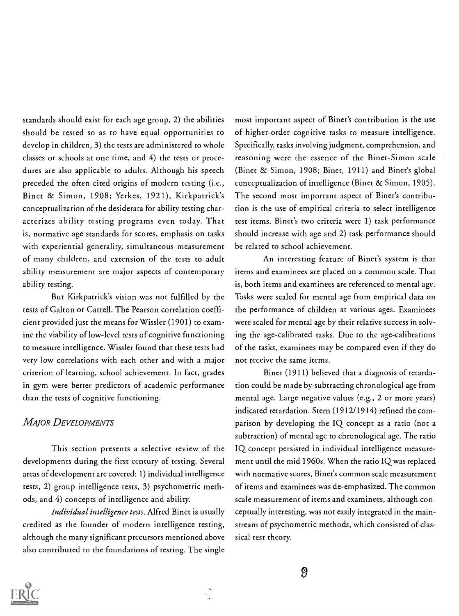standards should exist for each age group, 2) the abilities should be tested so as to have equal opportunities to develop in children, 3) the tests are administered to whole classes or schools at one time, and 4) the tests or procedures are also applicable to adults. Although his speech preceded the often cited origins of modern testing (i.e., Binet & Simon, 1908; Yerkes, 1921), Kirkpatrick's conceptualization of the desiderata for ability testing characterizes ability testing programs even today. That is, normative age standards for scores, emphasis on tasks with experiential generality, simultaneous measurement of many children, and extension of the tests to adult ability measurement are major aspects of contemporary ability testing.

But Kirkpatrick's vision was not fulfilled by the tests of Galton or Cattell. The Pearson correlation coefficient provided just the means for Wissler (1901) to examine the viability of low-level tests of cognitive functioning to measure intelligence. Wissler found that these tests had very low correlations with each other and with a major criterion of learning, school achievement. In fact, grades in gym were better predictors of academic performance than the tests of cognitive functioning.

## MAJOR DEVELOPMENTS

This section presents a selective review of the developments during the first century of testing. Several areas of development are covered: 1) individual intelligence tests, 2) group intelligence tests, 3) psychometric methods, and 4) concepts of intelligence and ability.

Individual intelligence tests. Alfred Binet is usually credited as the founder of modern intelligence testing, although the many significant precursors mentioned above also contributed to the foundations of testing. The single most important aspect of Binet's contribution is the use of higher-order cognitive tasks to measure intelligence. Specifically, tasks involving judgment, comprehension, and reasoning were the essence of the Binet-Simon scale (Binet & Simon, 1908; Binet, 1911) and Binet's global conceptualization of intelligence (Binet & Simon, 1905). The second most important aspect of Binet's contribution is the use of empirical criteria to select intelligence test items. Binet's two criteria were 1) task performance should increase with age and 2) task performance should be related to school achievement.

An interesting feature of Binet's system is that items and examinees are placed on a common scale. That is, both items and examinees are referenced to mental age. Tasks were scaled for mental age from empirical data on the performance of children at various ages. Examinees were scaled for mental age by their relative success in solving the age-calibrated tasks. Due to the age-calibrations of the tasks, examinees may be compared even if they do not receive the same items.

Binet (1911) believed that a diagnosis of retardation could be made by subtracting chronological age from mental age. Large negative values (e.g., 2 or more years) indicated retardation. Stern (1912/1914) refined the comparison by developing the IQ concept as a ratio (not a subtraction) of mental age to chronological age. The ratio IQ concept persisted in individual intelligence measurement until the mid 1960s. When the ratio IQ was replaced with normative scores, Binet's common scale measurement of items and examinees was de-emphasized. The common scale measurement of items and examinees, although conceptually interesting, was not easily integrated in the mainstream of psychometric methods, which consisted of classical test theory.

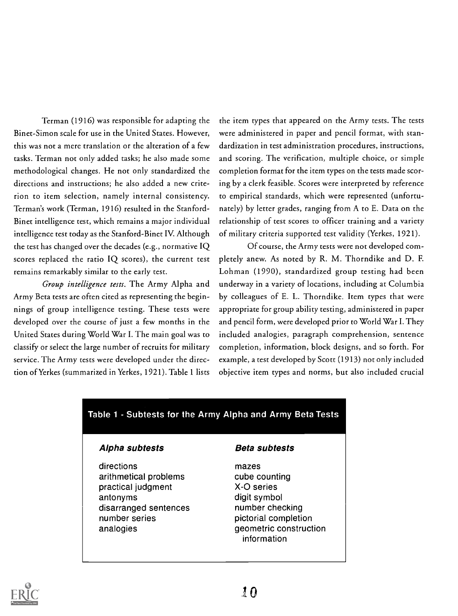Terman (1916) was responsible for adapting the Binet-Simon scale for use in the United States. However, this was not a mere translation or the alteration of a few tasks. Terman not only added tasks; he also made some methodological changes. He not only standardized the directions and instructions; he also added a new criterion to item selection, namely internal consistency. Terman's work (Terman, 1916) resulted in the Stanford-Binet intelligence test, which remains a major individual intelligence test today as the Stanford-Binet IV. Although the test has changed over the decades (e.g., normative IQ scores replaced the ratio IQ scores), the current test remains remarkably similar to the early test.

Group intelligence tests. The Army Alpha and Army Beta tests are often cited as representing the beginnings of group intelligence testing. These tests were developed over the course of just a few months in the United States during World War I. The main goal was to classify or select the large number of recruits for military service. The Army tests were developed under the direction of Yerkes (summarized in Yerkes, 1921). Table 1 lists

the item types that appeared on the Army tests. The tests were administered in paper and pencil format, with standardization in test administration procedures, instructions, and scoring. The verification, multiple choice, or simple completion format for the item types on the tests made scoring by a clerk feasible. Scores were interpreted by reference to empirical standards, which were represented (unfortunately) by letter grades, ranging from A to E. Data on the relationship of test scores to officer training and a variety of military criteria supported test validity (Yerkes, 1921).

Of course, the Army tests were not developed completely anew. As noted by R. M. Thorndike and D. F. Lohman (1990), standardized group testing had been underway in a variety of locations, including at Columbia by colleagues of E. L. Thorndike. Item types that were appropriate for group ability testing, administered in paper and pencil form, were developed prior to World War I. They included analogies, paragraph comprehension, sentence completion, information, block designs, and so forth. For example, a test developed by Scott (1913) not only included objective item types and norms, but also included crucial

## Table 1 - Subtests for the Army Alpha and Army Beta Tests

#### Alpha subtests

directions arithmetical problems practical judgment antonyms disarranged sentences number series analogies

#### Beta subtests

mazes cube counting X-0 series digit symbol number checking pictorial completion geometric construction information

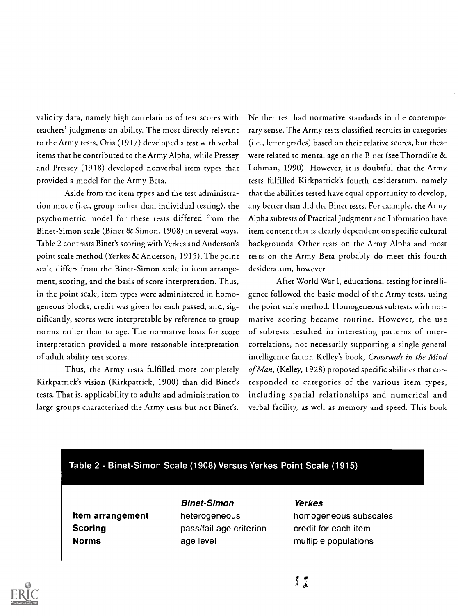validity data, namely high correlations of test scores with teachers' judgments on ability. The most directly relevant to the Army tests, Otis (1917) developed a test with verbal items that he contributed to the Army Alpha, while Pressey and Pressey (1918) developed nonverbal item types that provided a model for the Army Beta.

Aside from the item types and the test administration mode (i.e., group rather than individual testing), the psychometric model for these tests differed from the Binet-Simon scale (Binet & Simon, 1908) in several ways. Table 2 contrasts Binet's scoring with Yerkes and Anderson's point scale method (Yerkes & Anderson, 1915). The point scale differs from the Binet-Simon scale in item arrangement, scoring, and the basis of score interpretation. Thus, in the point scale, item types were administered in homogeneous blocks, credit was given for each passed, and, significantly, scores were interpretable by reference to group norms rather than to age. The normative basis for score interpretation provided a more reasonable interpretation of adult ability test scores.

Thus, the Army tests fulfilled more completely Kirkpatrick's vision (Kirkpatrick, 1900) than did Binet's tests. That is, applicability to adults and administration to large groups characterized the Army tests but not Binet's.

Neither test had normative standards in the contemporary sense. The Army tests classified recruits in categories (i.e., letter grades) based on their relative scores, but these were related to mental age on the Binet (see Thorndike & Lohman, 1990). However, it is doubtful that the Army tests fulfilled Kirkpatrick's fourth desideratum, namely that the abilities tested have equal opportunity to develop, any better than did the Binet tests. For example, the Army Alpha subtests of Practical Judgment and Information have item content that is clearly dependent on specific cultural backgrounds. Other tests on the Army Alpha and most tests on the Army Beta probably do meet this fourth desideratum, however.

After World War I, educational testing for intelligence followed the basic model of the Army tests, using the point scale method. Homogeneous subtests with normative scoring became routine. However, the use of subtests resulted in interesting patterns of intercorrelations, not necessarily supporting a single general intelligence factor. Kelley's book, Crossroads in the Mind of Man, (Kelley, 1928) proposed specific abilities that corresponded to categories of the various item types, including spatial relationships and numerical and verbal facility, as well as memory and speed. This book

#### Table 2 - Binet-Simon Scale (1908) Versus Yerkes Point Scale (1915)

Item arrangement Scoring Norms

Binet-Simon heterogeneous pass/fail age criterion age level

Yerkes homogeneous subscales credit for each item multiple populations

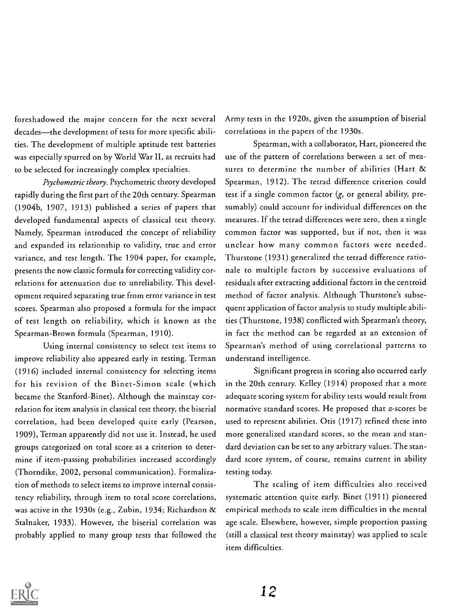foreshadowed the major concern for the next several decades—the development of tests for more specific abilities. The development of multiple aptitude test batteries was especially spurred on by World War II, as recruits had to be selected for increasingly complex specialties.

Psychometric theory. Psychometric theory developed rapidly during the first part of the 20th century. Spearman (1904b, 1907, 1913) published a series of papers that developed fundamental aspects of classical test theory. Namely, Spearman introduced the concept of reliability and expanded its relationship to validity, true and error variance, and test length. The 1904 paper, for example, presents the now classic formula for correcting validity correlations for attenuation due to unreliability. This development required separating true from error variance in test scores. Spearman also proposed a formula for the impact of test length on reliability, which is known as the Spearman-Brown formula (Spearman, 1910).

Using internal consistency to select test items to improve reliability also appeared early in testing. Terman (1916) included internal consistency for selecting items for his revision of the Binet-Simon scale (which became the Stanford-Binet). Although the mainstay correlation for item analysis in classical test theory, the biserial correlation, had been developed quite early (Pearson, 1909), Terman apparently did not use it. Instead, he used groups categorized on total score as a criterion to determine if item-passing probabilities increased accordingly (Thorndike, 2002, personal communication). Formalization of methods to select items to improve internal consistency reliability, through item to total score correlations, was active in the 1930s (e.g., Zubin, 1934; Richardson & Stalnaker, 1933). However, the biserial correlation was probably applied to many group tests that followed the Army tests in the 1920s, given the assumption of biserial correlations in the papers of the 1930s.

Spearman, with a collaborator, Hart, pioneered the use of the pattern of correlations between a set of measures to determine the number of abilities (Hart & Spearman, 1912). The tetrad difference criterion could test if a single common factor (g, or general ability, presumably) could account for individual differences on the measures. If the tetrad differences were zero, then a single common factor was supported, but if not, then it was unclear how many common factors were needed. Thurstone (1931) generalized the tetrad difference rationale to multiple factors by successive evaluations of residuals after extracting additional factors in the centroid method of factor analysis. Although Thurstone's subsequent application of factor analysis to study multiple abilities (Thurstone, 1938) conflicted with Spearman's theory, in fact the method can be regarded as an extension of Spearman's method of using correlational patterns to understand intelligence.

Significant progress in scoring also occurred early in the 20th century. Kelley (1914) proposed that a more adequate scoring system for ability tests would result from normative standard scores. He proposed that z-scores be used to represent abilities. Otis (1917) refined these into more generalized standard scores, so the mean and standard deviation can be set to any arbitrary values. The standard score system, of course, remains current in ability testing today.

The scaling of item difficulties also received systematic attention quite early. Binet (1911) pioneered empirical methods to scale item difficulties in the mental age scale. Elsewhere, however, simple proportion passing (still a classical test theory mainstay) was applied to scale item difficulties.

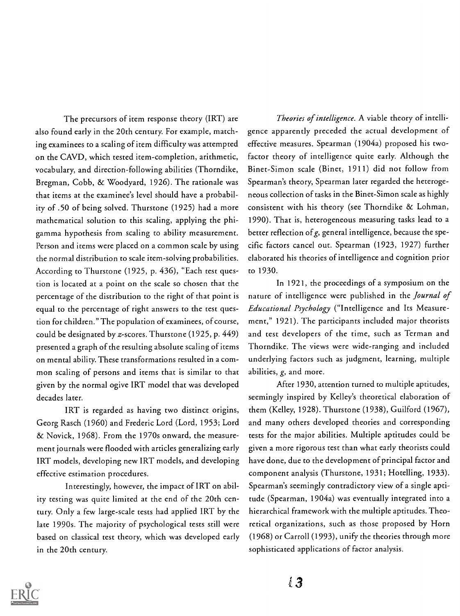The precursors of item response theory (IRT) are also found early in the 20th century. For example, matching examinees to a scaling of item difficulty was attempted on the CAVD, which tested item-completion, arithmetic, vocabulary, and direction-following abilities (Thorndike, Bregman, Cobb, & Woodyard, 1926). The rationale was that items at the examinee's level should have a probability of .50 of being solved. Thurstone (1925) had a more mathematical solution to this scaling, applying the phigamma hypothesis from scaling to ability measurement. Person and items were placed on a common scale by using the normal distribution to scale item-solving probabilities. According to Thurstone (1925, p. 436), "Each test question is located at a point on the scale so chosen that the percentage of the distribution to the right of that point is equal to the percentage of right answers to the test question for children." The population of examinees, of course, could be designated by z-scores. Thurstone (1925, p. 449) presented a graph of the resulting absolute scaling of items on mental ability. These transformations resulted in a common scaling of persons and items that is similar to that given by the normal ogive IRT model that was developed decades later.

IRT is regarded as having two distinct origins, Georg Rasch (1960) and Frederic Lord (Lord, 1953; Lord & Novick, 1968). From the 1970s onward, the measurement journals were flooded with articles generalizing early IRT models, developing new IRT models, and developing effective estimation procedures.

Interestingly, however, the impact of IRT on ability testing was quite limited at the end of the 20th century. Only a few large-scale tests had applied IRT by the late 1990s. The majority of psychological tests still were based on classical test theory, which was developed early in the 20th century.

Theories of intelligence. A viable theory of intelligence apparently preceded the actual development of effective measures. Spearman (1904a) proposed his twofactor theory of intelligence quite early. Although the Binet-Simon scale (Binet, 1911) did not follow from Spearman's theory, Spearman later regarded the heterogeneous collection of tasks in the Binet-Simon scale as highly consistent with his theory (see Thorndike & Lohman, 1990). That is, heterogeneous measuring tasks lead to a better reflection of  $g$ , general intelligence, because the specific factors cancel out. Spearman (1923, 1927) further elaborated his theories of intelligence and cognition prior to 1930.

In 1921, the proceedings of a symposium on the nature of intelligence were published in the Journal of Educational Psychology ("Intelligence and Its Measurement," 1921). The participants included major theorists and test developers of the time, such as Terman and Thorndike. The views were wide-ranging and included underlying factors such as judgment, learning, multiple abilities, g, and more.

After 1930, attention turned to multiple aptitudes, seemingly inspired by Kelley's theoretical elaboration of them (Kelley, 1928). Thurstone (1938), Guilford (1967), and many others developed theories and corresponding tests for the major abilities. Multiple aptitudes could be given a more rigorous test than what early theorists could have done, due to the development of principal factor and component analysis (Thurstone, 1931; Hotelling, 1933). Spearman's seemingly contradictory view of a single aptitude (Spearman, 1904a) was eventually integrated into a hierarchical framework with the multiple aptitudes. Theoretical organizations, such as those proposed by Horn (1968) or Carroll (1993), unify the theories through more sophisticated applications of factor analysis.

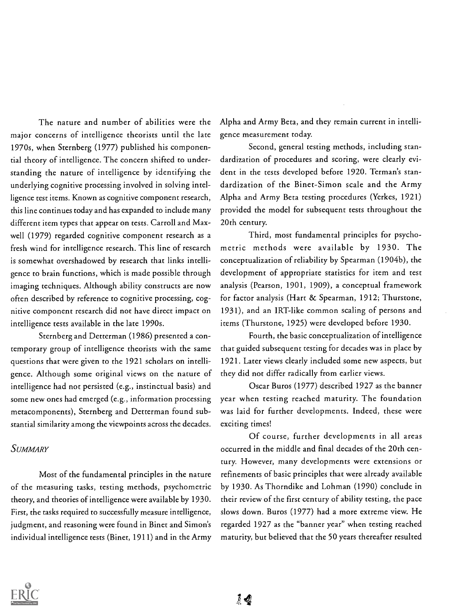The nature and number of abilities were the major concerns of intelligence theorists until the late 1970s, when Sternberg (1977) published his componential theory of intelligence. The concern shifted to understanding the nature of intelligence by identifying the underlying cognitive processing involved in solving intelligence test items. Known as cognitive component research, this line continues today and has expanded to include many different item types that appear on tests. Carroll and Maxwell (1979) regarded cognitive component research as a fresh wind for intelligence research. This line of research is somewhat overshadowed by research that links intelligence to brain functions, which is made possible through imaging techniques. Although ability constructs are now often described by reference to cognitive processing, cognitive component research did not have direct impact on intelligence tests available in the late 1990s.

Sternberg and Detterman (1986) presented a contemporary group of intelligence theorists with the same questions that were given to the 1921 scholars on intelligence. Although some original views on the nature of intelligence had not persisted (e.g., instinctual basis) and some new ones had emerged (e.g., information processing metacomponents), Sternberg and Detterman found substantial similarity among the viewpoints across the decades.

#### **SUMMARY**

Most of the fundamental principles in the nature of the measuring tasks, testing methods, psychometric theory, and theories of intelligence were available by 1930. First, the tasks required to successfully measure intelligence, judgment, and reasoning were found in Binet and Simon's individual intelligence tests (Binet, 1911) and in the Army Alpha and Army Beta, and they remain current in intelligence measurement today.

Second, general testing methods, including standardization of procedures and scoring, were clearly evident in the tests developed before 1920. Terman's standardization of the Binet-Simon scale and the Army Alpha and Army Beta testing procedures (Yerkes, 1921) provided the model for subsequent tests throughout the 20th century.

Third, most fundamental principles for psychometric methods were available by 1930. The conceptualization of reliability by Spearman (1904b), the development of appropriate statistics for item and test analysis (Pearson, 1901, 1909), a conceptual framework for factor analysis (Hart & Spearman, 1912; Thurstone, 1931), and an IRT-like common scaling of persons and items (Thurstone, 1925) were developed before 1930.

Fourth, the basic conceptualization of intelligence that guided subsequent testing for decades was in place by 1921. Later views clearly included some new aspects, but they did not differ radically from earlier views.

Oscar Buros (1977) described 1927 as the banner year when testing reached maturity. The foundation was laid for further developments. Indeed, these were exciting times!

Of course, further developments in all areas occurred in the middle and final decades of the 20th century. However, many developments were extensions or refinements of basic principles that were already available by 1930. As Thorndike and Lohman (1990) conclude in their review of the first century of ability testing, the pace slows down. Buros (1977) had a more extreme view. He regarded 1927 as the "banner year" when testing reached maturity, but believed that the 50 years thereafter resulted



 $J$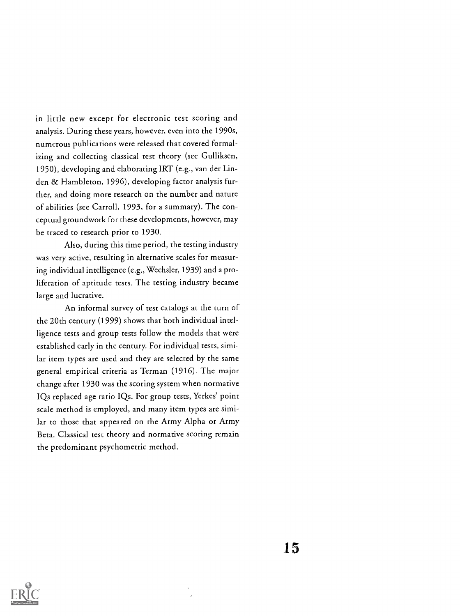in little new except for electronic test scoring and analysis. During these years, however, even into the 1990s, numerous publications were released that covered formalizing and collecting classical test theory (see Gulliksen, 1950), developing and elaborating IRT (e.g., van der Linden & Hambleton, 1996), developing factor analysis further, and doing more research on the number and nature of abilities (see Carroll, 1993, for a summary). The conceptual groundwork for these developments, however, may be traced to research prior to 1930.

Also, during this time period, the testing industry was very active, resulting in alternative scales for measuring individual intelligence (e.g., Wechsler, 1939) and a proliferation of aptitude tests. The testing industry became large and lucrative.

An informal survey of test catalogs at the turn of the 20th century (1999) shows that both individual intelligence tests and group tests follow the models that were established early in the century. For individual tests, similar item types are used and they are selected by the same general empirical criteria as Terman (1916). The major change after 1930 was the scoring system when normative IQs replaced age ratio IQs. For group tests, Yerkes' point scale method is employed, and many item types are similar to those that appeared on the Army Alpha or Army Beta. Classical test theory and normative scoring remain the predominant psychometric method.

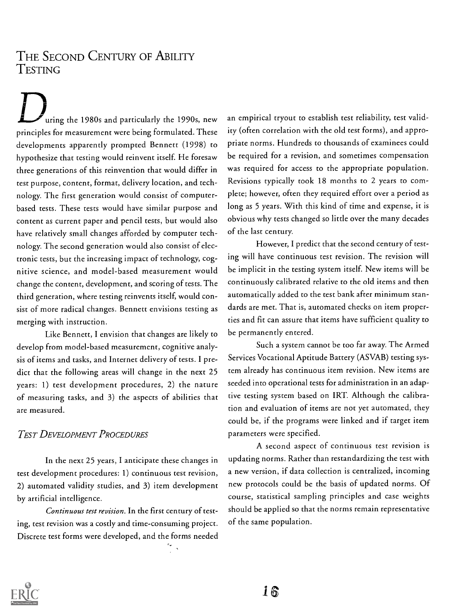# THE SECOND CENTURY OF ABILITY TESTING

uring the 1980s and particularly the 1990s, new principles for measurement were being formulated. These developments apparently prompted Bennett (1998) to hypothesize that testing would reinvent itself. He foresaw three generations of this reinvention that would differ in test purpose, content, format, delivery location, and technology. The first generation would consist of computerbased tests. These tests would have similar purpose and content as current paper and pencil tests, but would also have relatively small changes afforded by computer technology. The second generation would also consist of electronic tests, but the increasing impact of technology, cognitive science, and model-based measurement would change the content, development, and scoring of tests. The third generation, where testing reinvents itself, would consist of more radical changes. Bennett envisions testing as merging with instruction.

Like Bennett, I envision that changes are likely to develop from model-based measurement, cognitive analysis of items and tasks, and Internet delivery of tests. I predict that the following areas will change in the next 25 years: 1) test development procedures, 2) the nature of measuring tasks, and 3) the aspects of abilities that are measured.

## TEST DEVELOPMENT PROCEDURES

In the next 25 years, I anticipate these changes in test development procedures: 1) continuous test revision, 2) automated validity studies, and 3) item development by artificial intelligence.

Continuous test revision. In the first century of testing, test revision was a costly and time-consuming project. Discrete test forms were developed, and the forms needed an empirical tryout to establish test reliability, test validity (often correlation with the old test forms), and appropriate norms. Hundreds to thousands of examinees could be required for a revision, and sometimes compensation was required for access to the appropriate population. Revisions typically took 18 months to 2 years to complete; however, often they required effort over a period as long as 5 years. With this kind of time and expense, it is obvious why tests changed so little over the many decades of the last century.

However, I predict that the second century of testing will have continuous test revision. The revision will be implicit in the testing system itself. New items will be continuously calibrated relative to the old items and then automatically added to the test bank after minimum standards are met. That is, automated checks on item properties and fit can assure that items have sufficient quality to be permanently entered.

Such a system cannot be too far away. The Armed Services Vocational Aptitude Battery (ASVAB) testing system already has continuous item revision. New items are seeded into operational tests for administration in an adaptive testing system based on IRT. Although the calibration and evaluation of items are not yet automated, they could be, if the programs were linked and if target item parameters were specified.

A second aspect of continuous test revision is updating norms. Rather than restandardizing the test with a new version, if data collection is centralized, incoming new protocols could be the basis of updated norms. Of course, statistical sampling principles and case weights should be applied so that the norms remain representative of the same population.

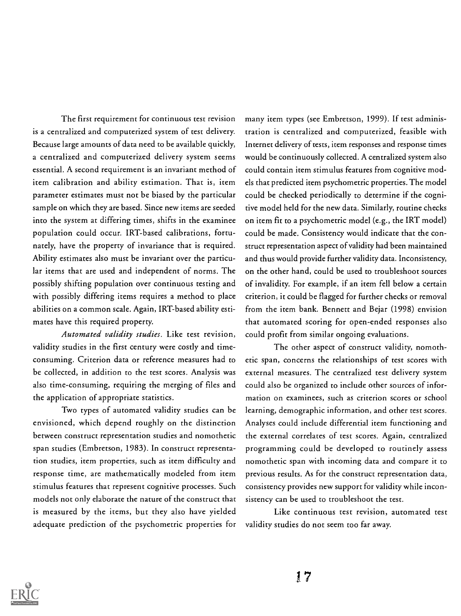The first requirement for continuous test revision is a centralized and computerized system of test delivery. Because large amounts of data need to be available quickly, a centralized and computerized delivery system seems essential. A second requirement is an invariant method of item calibration and ability estimation. That is, item parameter estimates must not be biased by the particular sample on which they are based. Since new items are seeded into the system at differing times, shifts in the examinee population could occur. IRT-based calibrations, fortunately, have the property of invariance that is required. Ability estimates also must be invariant over the particular items that are used and independent of norms. The possibly shifting population over continuous testing and with possibly differing items requires a method to place abilities on a common scale. Again, IRT-based ability estimates have this required property.

Automated validity studies. Like test revision, validity studies in the first century were costly and timeconsuming. Criterion data or reference measures had to be collected, in addition to the test scores. Analysis was also time-consuming, requiring the merging of files and the application of appropriate statistics.

Two types of automated validity studies can be envisioned, which depend roughly on the distinction between construct representation studies and nomothetic span studies (Embretson, 1983). In construct representation studies, item properties, such as item difficulty and response time, are mathematically modeled from item stimulus features that represent cognitive processes. Such models not only elaborate the nature of the construct that is measured by the items, but they also have yielded adequate prediction of the psychometric properties for many item types (see Embretson, 1999). If test administration is centralized and computerized, feasible with Internet delivery of tests, item responses and response times would be continuously collected. A centralized system also could contain item stimulus features from cognitive models that predicted item psychometric properties. The model could be checked periodically to determine if the cognitive model held for the new data. Similarly, routine checks on item fit to a psychometric model (e.g., the IRT model) could be made. Consistency would indicate that the construct representation aspect of validity had been maintained and thus would provide further validity data. Inconsistency, on the other hand, could be used to troubleshoot sources of invalidity. For example, if an item fell below a certain criterion, it could be flagged for further checks or removal from the item bank. Bennett and Bejar (1998) envision that automated scoring for open-ended responses also could profit from similar ongoing evaluations.

The other aspect of construct validity, nomothetic span, concerns the relationships of test scores with external measures. The centralized test delivery system could also be organized to include other sources of information on examinees, such as criterion scores or school learning, demographic information, and other test scores. Analyses could include differential item functioning and the external correlates of test scores. Again, centralized programming could be developed to routinely assess nomothetic span with incoming data and compare it to previous results. As for the construct representation data, consistency provides new support for validity while inconsistency can be used to troubleshoot the test.

Like continuous test revision, automated test validity studies do not seem too far away.

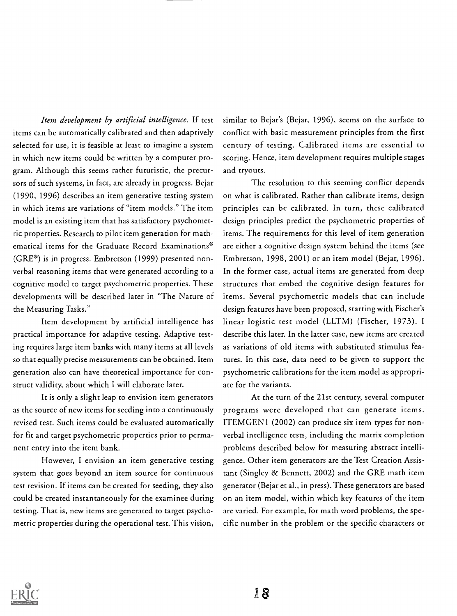Item development by artificial intelligence. If test items can be automatically calibrated and then adaptively selected for use, it is feasible at least to imagine a system in which new items could be written by a computer program. Although this seems rather futuristic, the precursors of such systems, in fact, are already in progress. Bejar (1990, 1996) describes an item generative testing system in which items are variations of "item models." The item model is an existing item that has satisfactory psychometric properties. Research to pilot item generation for mathematical items for the Graduate Record Examinations®  $(GRE<sup>®</sup>)$  is in progress. Embretson (1999) presented nonverbal reasoning items that were generated according to a cognitive model to target psychometric properties. These developments will be described later in "The Nature of the Measuring Tasks."

Item development by artificial intelligence has practical importance for adaptive testing. Adaptive testing requires large item banks with many items at all levels so that equally precise measurements can be obtained. Item generation also can have theoretical importance for construct validity, about which I will elaborate later.

It is only a slight leap to envision item generators as the source of new items for seeding into a continuously revised test. Such items could be evaluated automatically for fit and target psychometric properties prior to permanent entry into the item bank.

However, I envision an item generative testing system that goes beyond an item source for continuous test revision. If items can be created for seeding, they also could be created instantaneously for the examinee during testing. That is, new items are generated to target psychometric properties during the operational test. This vision,

similar to Bejar's (Bejar, 1996), seems on the surface to conflict with basic measurement principles from the first century of testing. Calibrated items are essential to scoring. Hence, item development requires multiple stages and tryouts.

The resolution to this seeming conflict depends on what is calibrated. Rather than calibrate items, design principles can be calibrated. In turn, these calibrated design principles predict the psychometric properties of items. The requirements for this level of item generation are either a cognitive design system behind the items (see Embretson, 1998, 2001) or an item model (Bejar, 1996). In the former case, actual items are generated from deep structures that embed the cognitive design features for items. Several psychometric models that can include design features have been proposed, starting with Fischer's linear logistic test model (LLTM) (Fischer, 1973). I describe this later. In the latter case, new items are created as variations of old items with substituted stimulus features. In this case, data need to be given to support the psychometric calibrations for the item model as appropriate for the variants.

At the turn of the 21st century, several computer programs were developed that can generate items. ITEMGEN1 (2002) can produce six item types for nonverbal intelligence tests, including the matrix completion problems described below for measuring abstract intelligence. Other item generators are the Test Creation Assistant (Singley & Bennett, 2002) and the GRE math item generator (Bejar et al., in press). These generators are based on an item model, within which key features of the item are varied. For example, for math word problems, the specific number in the problem or the specific characters or

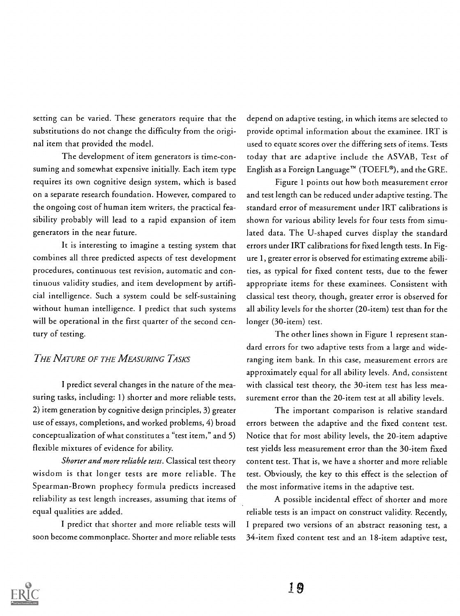setting can be varied. These generators require that the substitutions do not change the difficulty from the original item that provided the model.

The development of item generators is time-consuming and somewhat expensive initially. Each item type requires its own cognitive design system, which is based on a separate research foundation. However, compared to the ongoing cost of human item writers, the practical feasibility probably will lead to a rapid expansion of item generators in the near future.

It is interesting to imagine a testing system that combines all three predicted aspects of test development procedures, continuous test revision, automatic and continuous validity studies, and item development by artificial intelligence. Such a system could be self-sustaining without human intelligence. I predict that such systems will be operational in the first quarter of the second century of testing.

## THE NATURE OF THE MEASURING TASKS

I predict several changes in the nature of the measuring tasks, including: 1) shorter and more reliable tests, 2) item generation by cognitive design principles, 3) greater use of essays, completions, and worked problems, 4) broad conceptualization of what constitutes a "test item," and 5) flexible mixtures of evidence for ability.

Shorter and more reliable tests. Classical test theory wisdom is that longer tests are more reliable. The Spearman-Brown prophecy formula predicts increased reliability as test length increases, assuming that items of equal qualities are added.

I predict that shorter and more reliable tests will soon become commonplace. Shorter and more reliable tests

depend on adaptive testing, in which items are selected to provide optimal information about the examinee. IRT is used to equate scores over the differing sets of items. Tests today that are adaptive include the ASVAB, Test of English as a Foreign Language" (TOEFL ®), and the GRE.

Figure 1 points out how both measurement error and test length can be reduced under adaptive testing. The standard error of measurement under IRT calibrations is shown for various ability levels for four tests from simulated data. The U-shaped curves display the standard errors under IRT calibrations for fixed length tests. In Figure 1, greater error is observed for estimating extreme abilities, as typical for fixed content tests, due to the fewer appropriate items for these examinees. Consistent with classical test theory, though, greater error is observed for all ability levels for the shorter (20-item) test than for the longer (30-item) test.

The other lines shown in Figure 1 represent standard errors for two adaptive tests from a large and wideranging item bank. In this case, measurement errors are approximately equal for all ability levels. And, consistent with classical test theory, the 30-item test has less measurement error than the 20-item test at all ability levels.

The important comparison is relative standard errors between the adaptive and the fixed content test. Notice that for most ability levels, the 20-item adaptive test yields less measurement error than the 30-item fixed content test. That is, we have a shorter and more reliable test. Obviously, the key to this effect is the selection of the most informative items in the adaptive test.

A possible incidental effect of shorter and more reliable tests is an impact on construct validity. Recently, I prepared two versions of an abstract reasoning test, a 34-item fixed content test and an 18-item adaptive test,

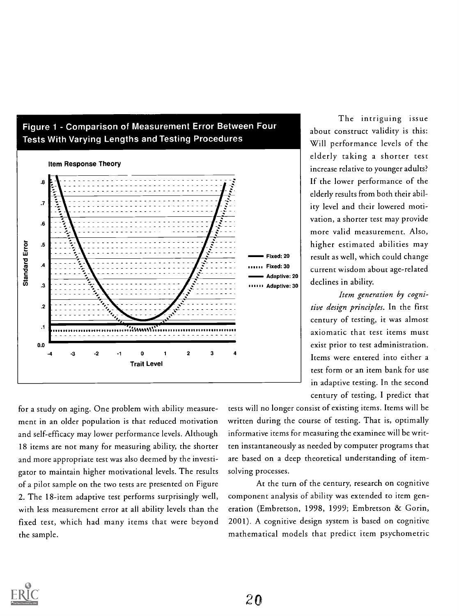

Figure 1 - Comparison of Measurement Error Between Four Tests With Varying Lengths and Testing Procedures

The intriguing issue about construct validity is this: Will performance levels of the elderly taking a shorter test increase relative to younger adults? If the lower performance of the elderly results from both their ability level and their lowered motivation, a shorter test may provide more valid measurement. Also, higher estimated abilities may result as well, which could change current wisdom about age-related declines in ability.

Item generation by cognitive design principles. In the first century of testing, it was almost axiomatic that test items must exist prior to test administration. Items were entered into either a test form or an item bank for use in adaptive testing. In the second century of testing, I predict that

for a study on aging. One problem with ability measurement in an older population is that reduced motivation and self-efficacy may lower performance levels. Although 18 items are not many for measuring ability, the shorter and more appropriate test was also deemed by the investigator to maintain higher motivational levels. The results of a pilot sample on the two tests are presented on Figure 2. The 18-item adaptive test performs surprisingly well, with less measurement error at all ability levels than the fixed test, which had many items that were beyond the sample.

tests will no longer consist of existing items. Items will be written during the course of testing. That is, optimally informative items for measuring the examinee will be written instantaneously as needed by computer programs that are based on a deep theoretical understanding of itemsolving processes.

At the turn of the century, research on cognitive component analysis of ability was extended to item generation (Embretson, 1998, 1999; Embretson & Gorin, 2001). A cognitive design system is based on cognitive mathematical models that predict item psychometric

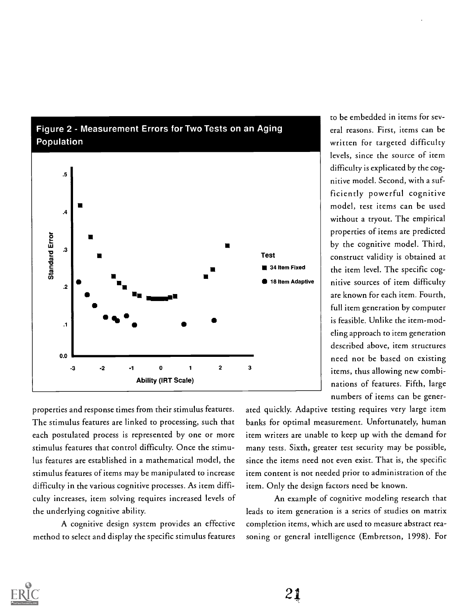

to be embedded in items for several reasons. First, items can be written for targeted difficulty levels, since the source of item difficulty is explicated by the cognitive model. Second, with a sufficiently powerful cognitive model, test items can be used without a tryout. The empirical properties of items are predicted by the cognitive model. Third, construct validity is obtained at the item level. The specific cognitive sources of item difficulty are known for each item. Fourth, full item generation by computer is feasible. Unlike the item-modeling approach to item generation described above, item structures need not be based on existing items, thus allowing new combinations of features. Fifth, large numbers of items can be gener-

properties and response times from their stimulus features. The stimulus features are linked to processing, such that each postulated process is represented by one or more stimulus features that control difficulty. Once the stimulus features are established in a mathematical model, the stimulus features of items may be manipulated to increase difficulty in the various cognitive processes. As item difficulty increases, item solving requires increased levels of the underlying cognitive ability.

A cognitive design system provides an effective method to select and display the specific stimulus features ated quickly. Adaptive testing requires very large item banks for optimal measurement. Unfortunately, human item writers are unable to keep up with the demand for many tests. Sixth, greater test security may be possible, since the items need not even exist. That is, the specific item content is not needed prior to administration of the item. Only the design factors need be known.

An example of cognitive modeling research that leads to item generation is a series of studies on matrix completion items, which are used to measure abstract reasoning or general intelligence (Embretson, 1998). For

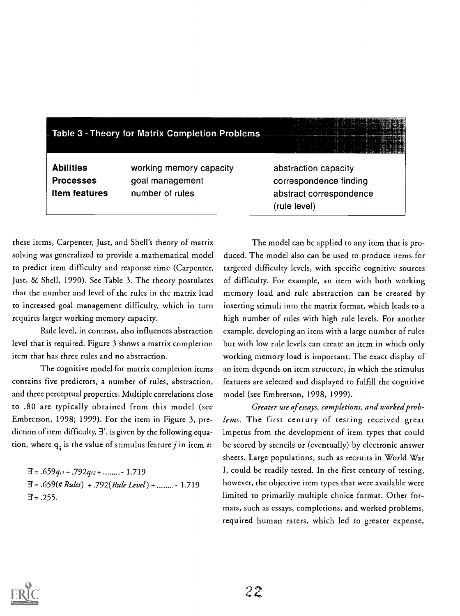Table 3 - Theory for Matrix Completion Problems

Abilities Processes Item features working memory capacity goal management number of rules

abstraction capacity correspondence finding abstract correspondence (rule level)

these items, Carpenter, Just, and Shell's theory of matrix solving was generalized to provide a mathematical model to predict item difficulty and response time (Carpenter, Just, & Shell, 1990). See Table 3. The theory postulates that the number and level of the rules in the matrix lead to increased goal management difficulty, which in turn requires larger working memory capacity.

Rule level, in contrast, also influences abstraction level that is required. Figure 3 shows a matrix completion item that has three rules and no abstraction.

The cognitive model for matrix completion items contains five predictors, a number of rules, abstraction, and three perceptual properties. Multiple correlations close to .80 are typically obtained from this model (see Embretson, 1998; 1999). For the item in Figure 3, prediction of item difficulty,  $\exists$ ', is given by the following equation, where  $q_{ii}$  is the value of stimulus feature j in item i:

 $\exists$ ' = .659 $q_{i1}$  + .792 $q_{i2}$  + ........ - 1.719  $\exists'$  = .659(# Rules) + .792( Rule Level) + ........ - 1.719  $\exists$ ' = .255.

The model can be applied to any item that is produced. The model also can be used to produce items for targeted difficulty levels, with specific cognitive sources of difficulty. For example, an item with both working memory load and rule abstraction can be created by inserting stimuli into the matrix format, which leads to a high number of rules with high rule levels. For another example, developing an item with a large number of rules but with low rule levels can create an item in which only working memory load is important. The exact display of an item depends on item structure, in which the stimulus features are selected and displayed to fulfill the cognitive model (see Embretson, 1998, 1999).

Greater use of essays, completions, and worked problems. The first century of testing received great impetus from the development of item types that could be scored by stencils or (eventually) by electronic answer sheets. Large populations, such as recruits in World War I, could be readily tested. In the first century of testing, however, the objective item types that were available were limited to primarily multiple choice format. Other formats, such as essays, completions, and worked problems, required human raters, which led to greater expense,

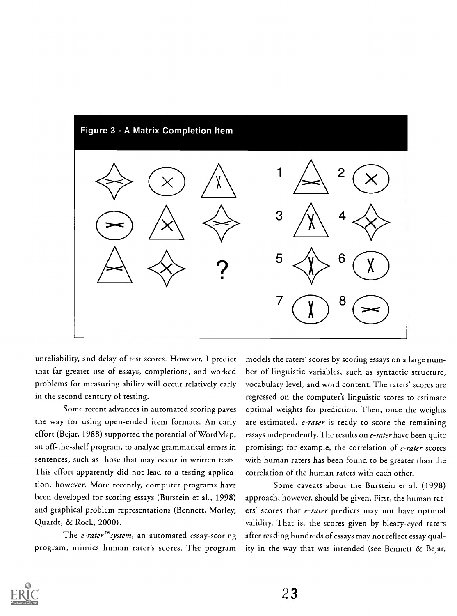

unreliability, and delay of test scores. However, I predict that far greater use of essays, completions, and worked problems for measuring ability will occur relatively early in the second century of testing.

Some recent advances in automated scoring paves the way for using open-ended item formats. An early effort (Bejar, 1988) supported the potential of WordMap, an off-the-shelf program, to analyze grammatical errors in sentences, such as those that may occur in written tests. This effort apparently did not lead to a testing application, however. More recently, computer programs have been developed for scoring essays (Burstein et al., 1998) and graphical problem representations (Bennett, Morley, Quardt, & Rock, 2000).

The  $e$ -rater<sup>™</sup> system, an automated essay-scoring program, mimics human rater's scores. The program models the raters' scores by scoring essays on a large number of linguistic variables, such as syntactic structure, vocabulary level, and word content. The raters' scores are regressed on the computer's linguistic scores to estimate optimal weights for prediction. Then, once the weights are estimated, e-rater is ready to score the remaining essays independently. The results on e-rater have been quite promising; for example, the correlation of e-rater scores with human raters has been found to be greater than the correlation of the human raters with each other.

Some caveats about the Burstein et al. (1998) approach, however, should be given. First, the human raters' scores that e-rater predicts may not have optimal validity. That is, the scores given by bleary-eyed raters after reading hundreds of essays may not reflect essay quality in the way that was intended (see Bennett & Bejar,



23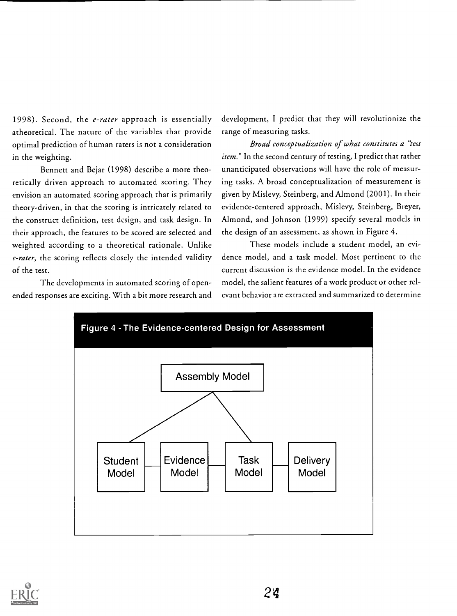1998). Second, the e-rater approach is essentially atheoretical. The nature of the variables that provide optimal prediction of human raters is not a consideration in the weighting.

Bennett and Bejar (1998) describe a more theoretically driven approach to automated scoring. They envision an automated scoring approach that is primarily theory-driven, in that the scoring is intricately related to the construct definition, test design, and task design. In their approach, the features to be scored are selected and weighted according to a theoretical rationale. Unlike e-rater, the scoring reflects closely the intended validity of the test.

The developments in automated scoring of openended responses are exciting. With a bit more research and development, I predict that they will revolutionize the range of measuring tasks.

Broad conceptualization of what constitutes a "test item." In the second century of testing, I predict that rather unanticipated observations will have the role of measuring tasks. A broad conceptualization of measurement is given by Mislevy, Steinberg, and Almond (2001). In their evidence-centered approach, Mislevy, Steinberg, Breyer, Almond, and Johnson (1999) specify several models in the design of an assessment, as shown in Figure 4.

These models include a student model, an evidence model, and a task model. Most pertinent to the current discussion is the evidence model. In the evidence model, the salient features of a work product or other relevant behavior are extracted and summarized to determine



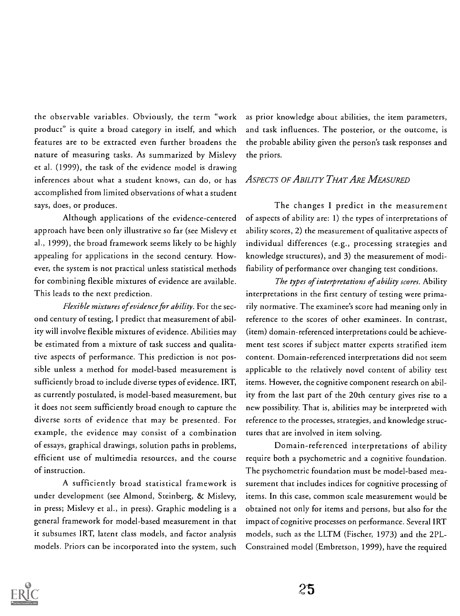the observable variables. Obviously, the term "work product" is quite a broad category in itself, and which features are to be extracted even further broadens the nature of measuring tasks. As summarized by Mislevy et al. (1999), the task of the evidence model is drawing inferences about what a student knows, can do, or has accomplished from limited observations of what a student says, does, or produces.

Although applications of the evidence-centered approach have been only illustrative so far (see Mislevy et al., 1999), the broad framework seems likely to be highly appealing for applications in the second century. However, the system is not practical unless statistical methods for combining flexible mixtures of evidence are available. This leads to the next prediction.

Flexible mixtures of evidence for ability. For the second century of testing, I predict that measurement of ability will involve flexible mixtures of evidence. Abilities may be estimated from a mixture of task success and qualitative aspects of performance. This prediction is not possible unless a method for model-based measurement is sufficiently broad to include diverse types of evidence. IRT, as currently postulated, is model-based measurement, but it does not seem sufficiently broad enough to capture the diverse sorts of evidence that may be presented. For example, the evidence may consist of a combination of essays, graphical drawings, solution paths in problems, efficient use of multimedia resources, and the course of instruction.

A sufficiently broad statistical framework is under development (see Almond, Steinberg, & Mislevy, in press; Mislevy et al., in press). Graphic modeling is a general framework for model-based measurement in that it subsumes IRT, latent class models, and factor analysis models. Priors can be incorporated into the system, such

as prior knowledge about abilities, the item parameters, and task influences. The posterior, or the outcome, is the probable ability given the person's task responses and the priors.

## ASPECTS OF ABILITY THAT ARE MEASURED

The changes I predict in the measurement of aspects of ability are: 1) the types of interpretations of ability scores, 2) the measurement of qualitative aspects of individual differences (e.g., processing strategies and knowledge structures), and 3) the measurement of modifiability of performance over changing test conditions.

The types of interpretations of ability scores. Ability interpretations in the first century of testing were primarily normative. The examinee's score had meaning only in reference to the scores of other examinees. In contrast, (item) domain-referenced interpretations could be achievement test scores if subject matter experts stratified item content. Domain-referenced interpretations did not seem applicable to the relatively novel content of ability test items. However, the cognitive component research on ability from the last part of the 20th century gives rise to a new possibility. That is, abilities may be interpreted with reference to the processes, strategies, and knowledge structures that are involved in item solving.

Domain-referenced interpretations of ability require both a psychometric and a cognitive foundation. The psychometric foundation must be model-based measurement that includes indices for cognitive processing of items. In this case, common scale measurement would be obtained not only for items and persons, but also for the impact of cognitive processes on performance. Several IRT models, such as the LLTM (Fischer, 1973) and the 2PL-Constrained model (Embretson, 1999), have the required

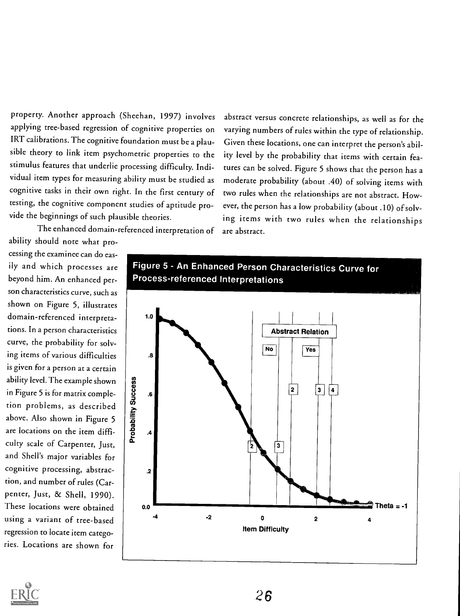property. Another approach (Sheehan, 1997) involves applying tree-based regression of cognitive properties on IRT calibrations. The cognitive foundation must be a plausible theory to link item psychometric properties to the stimulus features that underlie processing difficulty. Individual item types for measuring ability must be studied as cognitive tasks in their own right. In the first century of testing, the cognitive component studies of aptitude provide the beginnings of such plausible theories.

The enhanced domain-referenced interpretation of

abstract versus concrete relationships, as well as for the varying numbers of rules within the type of relationship. Given these locations, one can interpret the person's ability level by the probability that items with certain features can be solved. Figure 5 shows that the person has a moderate probability (about .40) of solving items with two rules when the relationships are not abstract. However, the person has a low probability (about .10) of solving items with two rules when the relationships are abstract.

ability should note what processing the examinee can do easily and which processes are beyond him. An enhanced person characteristics curve, such as shown on Figure 5, illustrates domain-referenced interpretations. In a person characteristics curve, the probability for solving items of various difficulties is given for a person at a certain ability level. The example shown<br>in Figure 5 is for matrix comple-<br>tion problems, as described<br>above. Also shown in Figure 5<br>are locations on the item diffiin Figure 5 is for matrix completion problems, as described above. Also shown in Figure 5 are locations on the item difficulty scale of Carpenter, Just, and Shell's major variables for cognitive processing, abstraction, and number of rules (Carpenter, Just, & Shell, 1990). These locations were obtained using a variant of tree-based  $\begin{vmatrix} 4 & 4 \end{vmatrix}$ regression to locate item categories. Locations are shown for



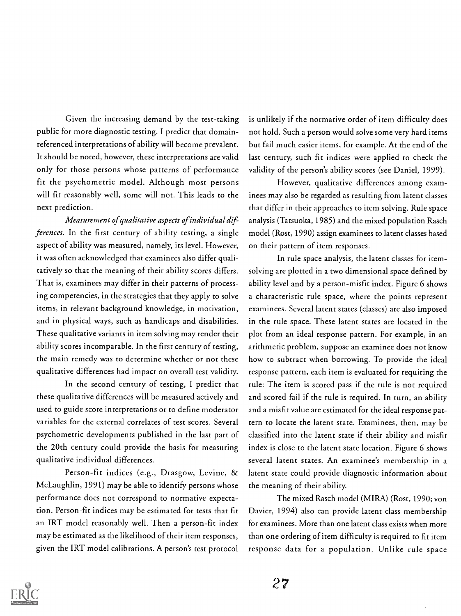Given the increasing demand by the test-taking public for more diagnostic testing, I predict that domainreferenced interpretations of ability will become prevalent. It should be noted, however, these interpretations are valid only for those persons whose patterns of performance fit the psychometric model. Although most persons will fit reasonably well, some will not. This leads to the next prediction.

Measurement of qualitative aspects of individual differences. In the first century of ability testing, a single aspect of ability was measured, namely, its level. However, it was often acknowledged that examinees also differ qualitatively so that the meaning of their ability scores differs. That is, examinees may differ in their patterns of processing competencies, in the strategies that they apply to solve items, in relevant background knowledge, in motivation, and in physical ways, such as handicaps and disabilities. These qualitative variants in item solving may render their ability scores incomparable. In the first century of testing, the main remedy was to determine whether or not these qualitative differences had impact on overall test validity.

In the second century of testing, I predict that these qualitative differences will be measured actively and used to guide score interpretations or to define moderator variables for the external correlates of test scores. Several psychometric developments published in the last part of the 20th century could provide the basis for measuring qualitative individual differences.

Person-fit indices (e.g., Drasgow, Levine, & McLaughlin, 1991) may be able to identify persons whose performance does not correspond to normative expectation. Person-fit indices may be estimated for tests that fit an IRT model reasonably well. Then a person-fit index may be estimated as the likelihood of their item responses, given the IRT model calibrations. A person's test protocol

is unlikely if the normative order of item difficulty does not hold. Such a person would solve some very hard items but fail much easier items, for example. At the end of the last century, such fit indices were applied to check the validity of the person's ability scores (see Daniel, 1999).

However, qualitative differences among examinees may also be regarded as resulting from latent classes that differ in their approaches to item solving. Rule space analysis (Tatsuoka, 1985) and the mixed population Rasch model (Rost, 1990) assign examinees to latent classes based on their pattern of item responses.

In rule space analysis, the latent classes for itemsolving are plotted in a two dimensional space defined by ability level and by a person-misfit index. Figure 6 shows a characteristic rule space, where the points represent examinees. Several latent states (classes) are also imposed in the rule space. These latent states are located in the plot from an ideal response pattern. For example, in an arithmetic problem, suppose an examinee does not know how to subtract when borrowing. To provide the ideal response pattern, each item is evaluated for requiring the rule: The item is scored pass if the rule is not required and scored fail if the rule is required. In turn, an ability and a misfit value are estimated for the ideal response pattern to locate the latent state. Examinees, then, may be classified into the latent state if their ability and misfit index is close to the latent state location. Figure 6 shows several latent states. An examinee's membership in a latent state could provide diagnostic information about the meaning of their ability.

The mixed Rasch model (MIRA) (Rost, 1990; von Davier, 1994) also can provide latent class membership for examinees. More than one latent class exists when more than one ordering of item difficulty is required to fit item response data for a population. Unlike rule space

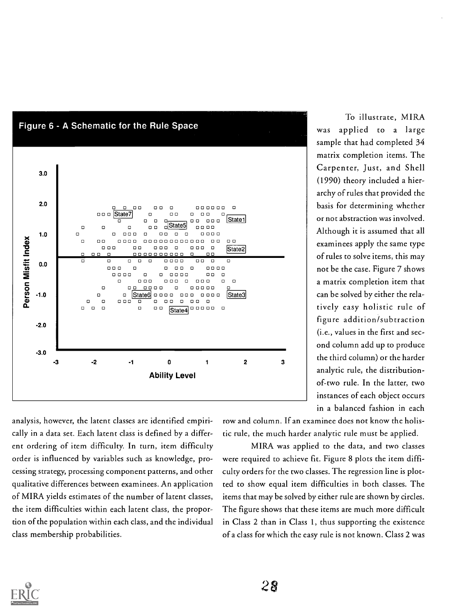

To illustrate, MIRA was applied to a large sample that had completed 34 matrix completion items. The Carpenter, Just, and Shell (1990) theory included a hierarchy of rules that provided the basis for determining whether or not abstraction was involved. Although it is assumed that all examinees apply the same type of rules to solve items, this may not be the case. Figure 7 shows a matrix completion item that can be solved by either the relatively easy holistic rule of figure addition/subtraction (i.e., values in the first and second column add up to produce the third column) or the harder analytic rule, the distributionof-two rule. In the latter, two instances of each object occurs in a balanced fashion in each

analysis, however, the latent classes are identified empiri- row and column. cally in a data set. Each latent class is defined by a different ordering of item difficulty. In turn, item difficulty order is influenced by variables such as knowledge, processing strategy, processing component patterns, and other qualitative differences between examinees. An application of MIRA yields estimates of the number of latent classes, the item difficulties within each latent class, the proportion of the population within each class, and the individual class membership probabilities.

row and column. If an examinee does not know the holistic rule, the much harder analytic rule must be applied.

MIRA was applied to the data, and two classes were required to achieve fit. Figure 8 plots the item difficulty orders for the two classes. The regression line is plotted to show equal item difficulties in both classes. The items that may be solved by either rule are shown by circles. The figure shows that these items are much more difficult in Class 2 than in Class 1, thus supporting the existence of a class for which the easy rule is not known. Class 2 was

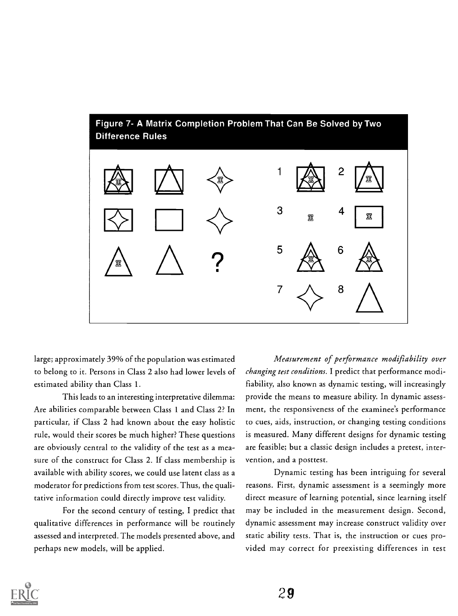



large; approximately 39% of the population was estimated to belong to it. Persons in Class 2 also had lower levels of estimated ability than Class 1.

This leads to an interesting interpretative dilemma: Are abilities comparable between Class 1 and Class 2? In particular, if Class 2 had known about the easy holistic rule, would their scores be much higher? These questions are obviously central to the validity of the test as a measure of the construct for Class 2. If class membership is available with ability scores, we could use latent class as a moderator for predictions from test scores. Thus, the qualitative information could directly improve test validity.

For the second century of testing, I predict that qualitative differences in performance will be routinely assessed and interpreted. The models presented above, and perhaps new models, will be applied.

Measurement of performance modifiability over changing test conditions. I predict that performance modifiability, also known as dynamic testing, will increasingly provide the means to measure ability. In dynamic assessment, the responsiveness of the examinee's performance to cues, aids, instruction, or changing testing conditions is measured. Many different designs for dynamic testing are feasible; but a classic design includes a pretest, intervention, and a posttest.

Dynamic testing has been intriguing for several reasons. First, dynamic assessment is a seemingly more direct measure of learning potential, since learning itself may be included in the measurement design. Second, dynamic assessment may increase construct validity over static ability tests. That is, the instruction or cues provided may correct for preexisting differences in test

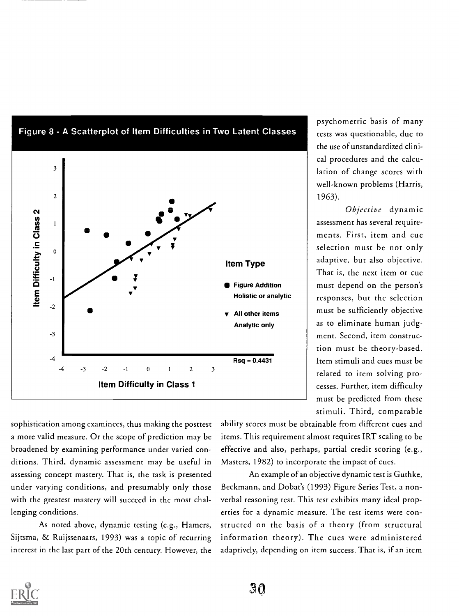

Figure 8 - A Scatterplot of Item Difficulties in Two Latent Classes

psychometric basis of many tests was questionable, due to the use of unstandardized clinical procedures and the calculation of change scores with well-known problems (Harris, 1963).

Objective dynamic assessment has several requirements. First, item and cue selection must be not only adaptive, but also objective. That is, the next item or cue must depend on the person's responses, but the selection must be sufficiently objective as to eliminate human judgment. Second, item construction must be theory-based. Item stimuli and cues must be related to item solving processes. Further, item difficulty must be predicted from these stimuli. Third, comparable

sophistication among examinees, thus making the posttest a more valid measure. Or the scope of prediction may be broadened by examining performance under varied conditions. Third, dynamic assessment may be useful in assessing concept mastery. That is, the task is presented under varying conditions, and presumably only those with the greatest mastery will succeed in the most challenging conditions.

As noted above, dynamic testing (e.g., Hamers, Sijtsma, & Ruijssenaars, 1993) was a topic of recurring interest in the last part of the 20th century. However, the ability scores must be obtainable from different cues and items. This requirement almost requires IRT scaling to be effective and also, perhaps, partial credit scoring (e.g., Masters, 1982) to incorporate the impact of cues.

An example of an objective dynamic test is Guthke, Beckmann, and Dobat's (1993) Figure Series Test, a nonverbal reasoning test. This test exhibits many ideal properties for a dynamic measure. The test items were constructed on the basis of a theory (from structural information theory). The cues were administered adaptively, depending on item success. That is, if an item

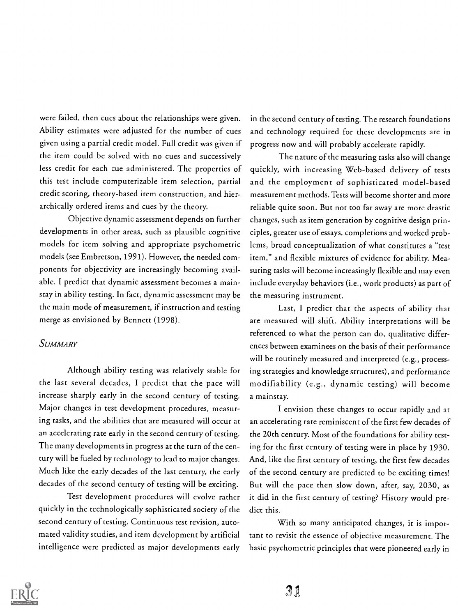were failed, then cues about the relationships were given. Ability estimates were adjusted for the number of cues given using a partial credit model. Full credit was given if the item could be solved with no cues and successively less credit for each cue administered. The properties of this test include computerizable item selection, partial credit scoring, theory-based item construction, and hierarchically ordered items and cues by the theory.

Objective dynamic assessment depends on further developments in other areas, such as plausible cognitive models for item solving and appropriate psychometric models (see Embretson, 1991). However, the needed components for objectivity are increasingly becoming available. I predict that dynamic assessment becomes a mainstay in ability testing. In fact, dynamic assessment may be the main mode of measurement, if instruction and testing merge as envisioned by Bennett (1998).

### **SUMMARY**

Although ability testing was relatively stable for the last several decades, I predict that the pace will increase sharply early in the second century of testing. Major changes in test development procedures, measuring tasks, and the abilities that are measured will occur at an accelerating rate early in the second century of testing. The many developments in progress at the turn of the century will be fueled by technology to lead to major changes. Much like the early decades of the last century, the early decades of the second century of testing will be exciting.

Test development procedures will evolve rather quickly in the technologically sophisticated society of the second century of testing. Continuous test revision, automated validity studies, and item development by artificial intelligence were predicted as major developments early

in the second century of testing. The research foundations and technology required for these developments are in progress now and will probably accelerate rapidly.

The nature of the measuring tasks also will change quickly, with increasing Web-based delivery of tests and the employment of sophisticated model-based measurement methods. Tests will become shorter and more reliable quite soon. But not too far away are more drastic changes, such as item generation by cognitive design principles, greater use of essays, completions and worked problems, broad conceptualization of what constitutes a "test item," and flexible mixtures of evidence for ability. Measuring tasks will become increasingly flexible and may even include everyday behaviors (i.e., work products) as part of the measuring instrument.

Last, I predict that the aspects of ability that are measured will shift. Ability interpretations will be referenced to what the person can do, qualitative differences between examinees on the basis of their performance will be routinely measured and interpreted (e.g., processing strategies and knowledge structures), and performance modifiability (e.g., dynamic testing) will become a mainstay.

I envision these changes to occur rapidly and at an accelerating rate reminiscent of the first few decades of the 20th century. Most of the foundations for ability testing for the first century of testing were in place by 1930. And, like the first century of testing, the first few decades of the second century are predicted to be exciting times! But will the pace then slow down, after, say, 2030, as it did in the first century of testing? History would predict this.

With so many anticipated changes, it is important to revisit the essence of objective measurement. The basic psychometric principles that were pioneered early in

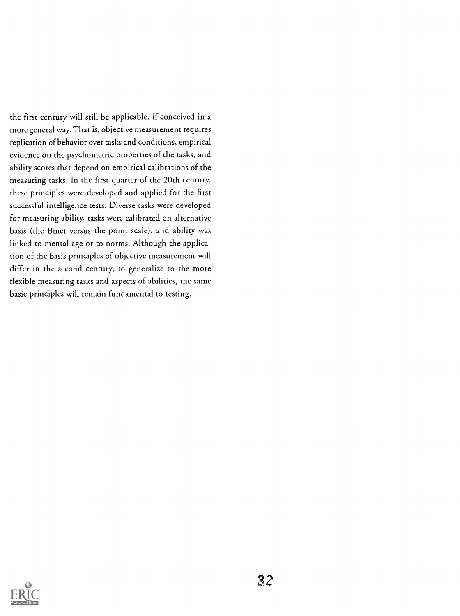the first century will still be applicable, if conceived in a more general way. That is, objective measurement requires replication of behavior over tasks and conditions, empirical evidence on the psychometric properties of the tasks, and ability scores that depend on empirical calibrations of the measuring tasks. In the first quarter of the 20th century, these principles were developed and applied for the first successful intelligence tests. Diverse tasks were developed for measuring ability, tasks were calibrated on alternative basis (the Binet versus the point scale), and ability was linked to mental age or to norms. Although the application of the basis principles of objective measurement will differ in the second century, to generalize to the more flexible measuring tasks and aspects of abilities, the same basic principles will remain fundamental to testing.

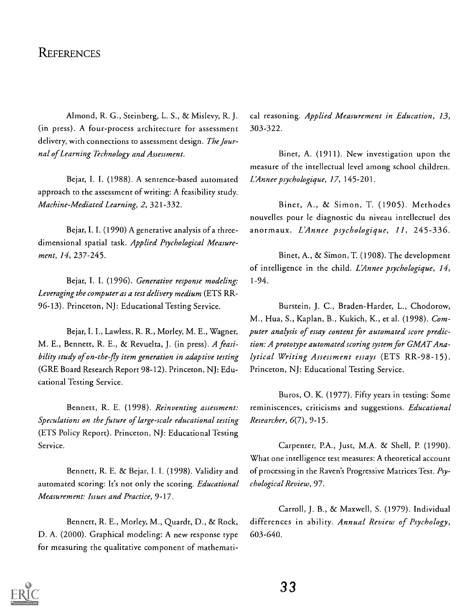# **REFERENCES**

Almond, R. G., Steinberg, L. S., & Mislevy, R. J. (in press). A four-process architecture for assessment delivery, with connections to assessment design. The Journal of Learning Technology and Assessment.

Bejar, I. I. (1988). A sentence-based automated approach to the assessment of writing: A feasibility study. Machine-Mediated Learning, 2, 321-332.

Bejar, I. I. (1990) A generative analysis of a threedimensional spatial task. Applied Psychological Measurement, 14, 237-245.

Bejar, I. I. (1996). Generative response modeling: Leveraging the computer as a test delivery medium (ETS RR-96-13). Princeton, NJ: Educational Testing Service.

Bejar, I. I., Lawless, R. R., Morley, M. E., Wagner, M. E., Bennett, R. E., & Revuelta, J. (in press). A feasibility study of on-the-fly item generation in adaptive testing (GRE Board Research Report 98-12). Princeton, NJ: Educational Testing Service.

Bennett, R. E. (1998). Reinventing assessment: Speculations on the future of large-scale educational testing (ETS Policy Report). Princeton, NJ: Educational Testing Service.

Bennett, R. E. & Bejar, I. I. (1998). Validity and automated scoring: It's not only the scoring. Educational Measurement: Issues and Practice, 9-17.

Bennett, R. E., Morley, M., Quardt, D., & Rock, D. A. (2000). Graphical modeling: A new response type for measuring the qualitative component of mathematical reasoning. Applied Measurement in Education, 13, 303-322.

Binet, A. (1911). New investigation upon the measure of the intellectual level among school children. L'Annee psychologique, 17, 145-201.

Binet, A., & Simon, T. (1905). Methodes nouvelles pour le diagnostic du niveau intellectuel des anormaux. L'Annee psychologique, 11, 245-336.

Binet, A., & Simon, T. (1908). The development of intelligence in the child. L'Annee psychologique, 14, 1-94.

Burstein, J. C., Braden-Harder, L., Chodorow, M., Hua, S., Kaplan, B., Kukich, K., et al. (1998). Computer analysis of essay content for automated score prediction: A prototype automated scoring system for GMAT Analytical Writing Assessment essays (ETS RR-98-15). Princeton, NJ: Educational Testing Service.

Buros, 0. K. (1977). Fifty years in testing: Some reminiscences, criticisms and suggestions. *Educational* Researcher, 6(7), 9-15.

Carpenter, P.A., Just, M.A. & Shell, P. (1990). What one intelligence test measures: A theoretical account of processing in the Raven's Progressive Matrices Test. Psychological Review, 97.

Carroll, J. B., & Maxwell, S. (1979). Individual differences in ability. Annual Review of Psychology, 603-640.

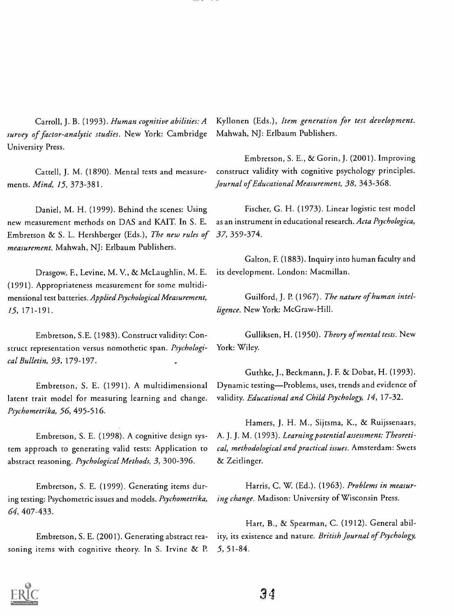Carroll, J. B. (1993). Human cognitive abilities: A survey of factor-analytic studies. New York: Cambridge University Press.

Cattell, J. M. (1890). Mental tests and measurements. Mind, 15, 373-381.

Daniel, M. H. (1999). Behind the scenes: Using new measurement methods on DAS and KAIT. In S. E. Embretson & S. L. Hershberger (Eds.), The new rules of measurement. Mahwah, NJ: Erlbaum Publishers.

Drasgow, F., Levine, M. V., & McLaughlin, M. E. (1991). Appropriateness measurement for some multidimensional test batteries. Applied Psychological Measurement, 15,171-191.

Embretson, S.E. (1983). Construct validity: Construct representation versus nomothetic span. Psychological Bulletin, 93, 179-197.

Embretson, S. E. (1991). A multidimensional latent trait model for measuring learning and change. Psychometrika, 56, 495-516.

Embretson, S. E. (1998). A cognitive design system approach to generating valid tests: Application to abstract reasoning. Psychological Methods, 3, 300-396.

Embretson, S. E. (1999). Generating items during testing: Psychometric issues and models. Psychometrika, 64, 407-433.

Embretson, S. E. (2001). Generating abstract reasoning items with cognitive theory. In S. Irvine & P.

Kyllonen (Eds.), Item generation for test development. Mahwah, NJ: Erlbaum Publishers.

Embretson, S. E., & Gorin, J. (2001). Improving construct validity with cognitive psychology principles. Journal of Educational Measurement, 38, 343-368.

Fischer, G. H. (1973). Linear logistic test model as an instrument in educational research. Acta Psychologica, 37, 359-374.

Galton, F. (1883). Inquiry into human faculty and its development. London: Macmillan.

Guilford, J. P. (1967). The nature of human intelligence. New York: McGraw-Hill.

Gulliksen, H. (1950). Theory of mental tests. New York: Wiley.

Guthke, J., Beckmann, J. E & Dobat, H. (1993). Dynamic testing-Problems, uses, trends and evidence of validity. Educational and Child Psychology, 14, 17-32.

Hamers, J. H. M., Sijtsma, K., & Ruijssenaars, A. J. J. M. (1993). Learning potential assessment: Theoretical, methodological and practical issues. Amsterdam: Swets & Zeitlinger.

Harris, C. W. (Ed.). (1963). Problems in measuring change. Madison: University of Wisconsin Press.

Hart, B., & Spearman, C. (1912). General ability, its existence and nature. British Journal of Psychology, 5, 51-84.

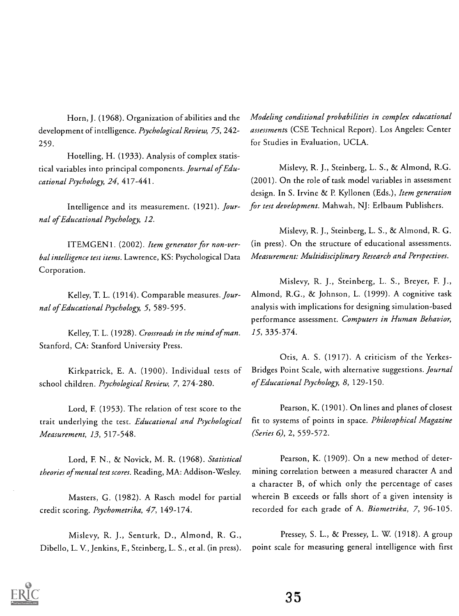Horn, J. (1968). Organization of abilities and the development of intelligence. Psychological Review, 75, 242-259.

Hotelling, H. (1933). Analysis of complex statistical variables into principal components. Journal of Educational Psychology, 24, 417-441.

Intelligence and its measurement. (1921). Journal of Educational Psychology, 12.

ITEMGEN1. (2002). Item generator for non-verbal intelligence test items. Lawrence, KS: Psychological Data Corporation.

Kelley, T. L. (1914). Comparable measures. Journal of Educational Psychology, 5, 589-595.

Kelley, T. L. (1928). Crossroads in the mind of man. Stanford, CA: Stanford University Press.

Kirkpatrick, E. A. (1900). Individual tests of school children. Psychological Review, 7, 274-280.

Lord, F. (1953). The relation of test score to the trait underlying the test. Educational and Psychological Measurement, 13, 517-548.

Lord, F. N., & Novick, M. R. (1968). Statistical theories of mental test scores. Reading, MA: Addison-Wesley.

Masters, G. (1982). A Rasch model for partial credit scoring. Psychometrika, 47, 149-174.

Mislevy, R. J., Senturk, D., Almond, R. G., Dibello, L. V., Jenkins, F., Steinberg, L. S., et al. (in press). Modeling conditional probabilities in complex educational assessments (CSE Technical Report). Los Angeles: Center for Studies in Evaluation, UCLA.

Mislevy, R. J., Steinberg, L. S., & Almond, R.G. (2001). On the role of task model variables in assessment design. In S. Irvine & P. Kyllonen (Eds.), Item generation for test development. Mahwah, NJ: Erlbaum Publishers.

Mislevy, R. J., Steinberg, L. S., & Almond, R. G. (in press). On the structure of educational assessments. Measurement: Multidisciplinary Research and Perspectives.

Mislevy, R. J., Steinberg, L. S., Breyer, F. J., Almond, R.G., & Johnson, L. (1999). A cognitive task analysis with implications for designing simulation-based performance assessment. Computers in Human Behavior, 15, 335-374.

Otis, A. S. (1917). A criticism of the Yerkes-Bridges Point Scale, with alternative suggestions. Journal of Educational Psychology, 8, 129-150.

Pearson, K. (1901). On lines and planes of closest fit to systems of points in space. Philosophical Magazine (Series 6), 2, 559-572.

Pearson, K. (1909). On a new method of determining correlation between a measured character A and a character B, of which only the percentage of cases wherein B exceeds or falls short of a given intensity is recorded for each grade of A. Biometrika, 7, 96-105.

Pressey, S. L., & Pressey, L. W. (1918). A group point scale for measuring general intelligence with first

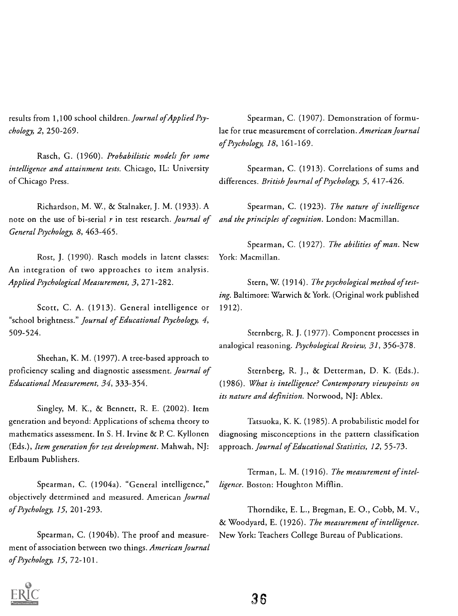results from 1,100 school children. Journal of Applied Psychology, 2, 250-269.

Rasch, G. (1960). Probabilistic models for some intelligence and attainment tests. Chicago, IL: University of Chicago Press.

Richardson, M. W., & Stalnaker, J. M. (1933). A note on the use of bi-serial  $r$  in test research. *Journal of* General Psychology, 8, 463-465.

Rost, J. (1990). Rasch models in latent classes: An integration of two approaches to item analysis. Applied Psychological Measurement, 3, 271-282.

Scott, C. A. (1913). General intelligence or "school brightness." Journal of Educational Psychology, 4, 509-524.

Sheehan, K. M. (1997). A tree-based approach to proficiency scaling and diagnostic assessment. Journal of Educational Measurement, 34, 333-354.

Singley, M. K., & Bennett, R. E. (2002). Item generation and beyond: Applications of schema theory to mathematics assessment. In S. H. Irvine & P. C. Kyllonen (Eds.), Item generation for test development. Mahwah, NJ: Erlbaum Publishers.

Spearman, C. (1904a). "General intelligence," objectively determined and measured. American Journal of Psychology, 15, 201-293.

Spearman, C. (1904b). The proof and measurement of association between two things. American Journal of Psychology, 15, 72-101.

Spearman, C. (1907). Demonstration of formulae for true measurement of correlation. American Journal of Psychology, 18, 161 -169.

Spearman, C. (1913). Correlations of sums and differences. British Journal of Psychology, 5, 417-426.

Spearman, C. (1923). The nature of intelligence and the principles of cognition. London: Macmillan.

Spearman, C. (1927). The abilities of man. New York: Macmillan.

Stern, W. (1914). The psychological method of testing. Baltimore: Warwich & York. (Original work published 1912).

Sternberg, R. J. (1977). Component processes in analogical reasoning. Psychological Review, 31, 356-378.

Sternberg, R. J., & Detterman, D. K. (Eds.). (1986). What is intelligence? Contemporary viewpoints on its nature and definition. Norwood, NJ: Ablex.

Tatsuoka, K. K. (1985). A probabilistic model for diagnosing misconceptions in the pattern classification approach. Journal of Educational Statistics, 12, 55-73.

Terman, L. M. (1916). The measurement of intelligence. Boston: Houghton Mifflin.

Thorndike, E. L., Bregman, E. 0., Cobb, M. V., & Woodyard, E. (1926). The measurement of intelligence. New York: Teachers College Bureau of Publications.

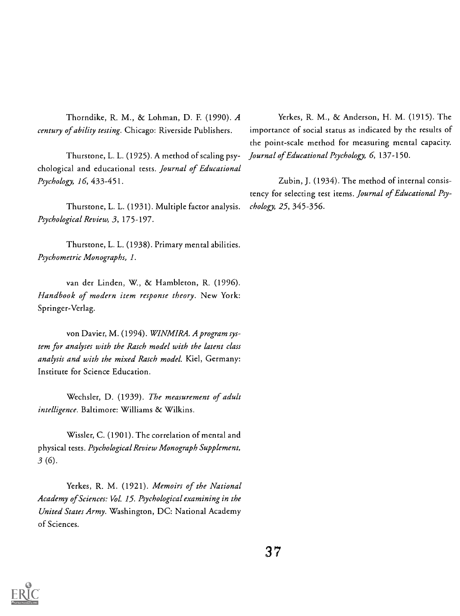Thorndike, R. M., & Lohman, D. F. (1990). A century of ability testing. Chicago: Riverside Publishers.

Thurstone, L. L. (1925). A method of scaling psychological and educational tests. Journal of Educational Psychology, 16, 433-451.

Thurstone, L. L. (1931). Multiple factor analysis. Psychological Review, 3,175-197.

Thurstone, L. L. (1938). Primary mental abilities. Psychometric Monographs, 1.

van der Linden, W., & Hambleton, R. (1996). Handbook of modern item response theory. New York: Springer-Verlag.

von Davier, M. (1994). WINMIRA. A program system for analyses with the Rasch model with the latent class analysis and with the mixed Rasch model. Kiel, Germany: Institute for Science Education.

Wechsler, D. (1939). The measurement of adult intelligence. Baltimore: Williams & Wilkins.

Wissler, C. (1901). The correlation of mental and physical tests. Psychological Review Monograph Supplement, 3 (6).

Yerkes, R. M. (1921). Memoirs of the National Academy of Sciences: Vol. 15. Psychological examining in the United States Army. Washington, DC: National Academy of Sciences.

Yerkes, R. M., & Anderson, H. M. (1915). The importance of social status as indicated by the results of the point-scale method for measuring mental capacity. Journal of Educational Psychology, 6, 137-150.

Zubin, J. (1934). The method of internal consistency for selecting test items. Journal of Educational Psychology, 25, 345-356.

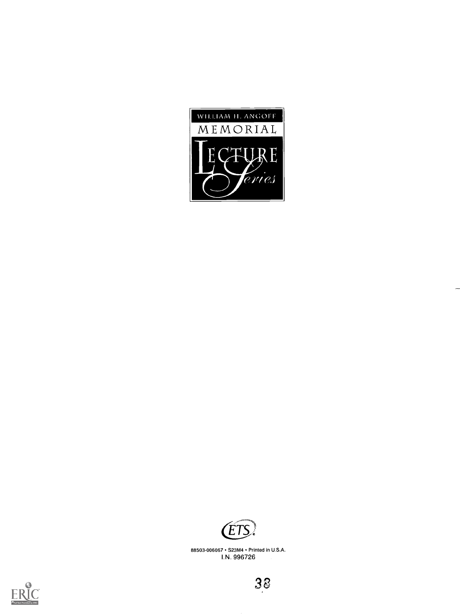



88503-006067 · S23M4 · Printed in U.S.A. I.N. 996726



38